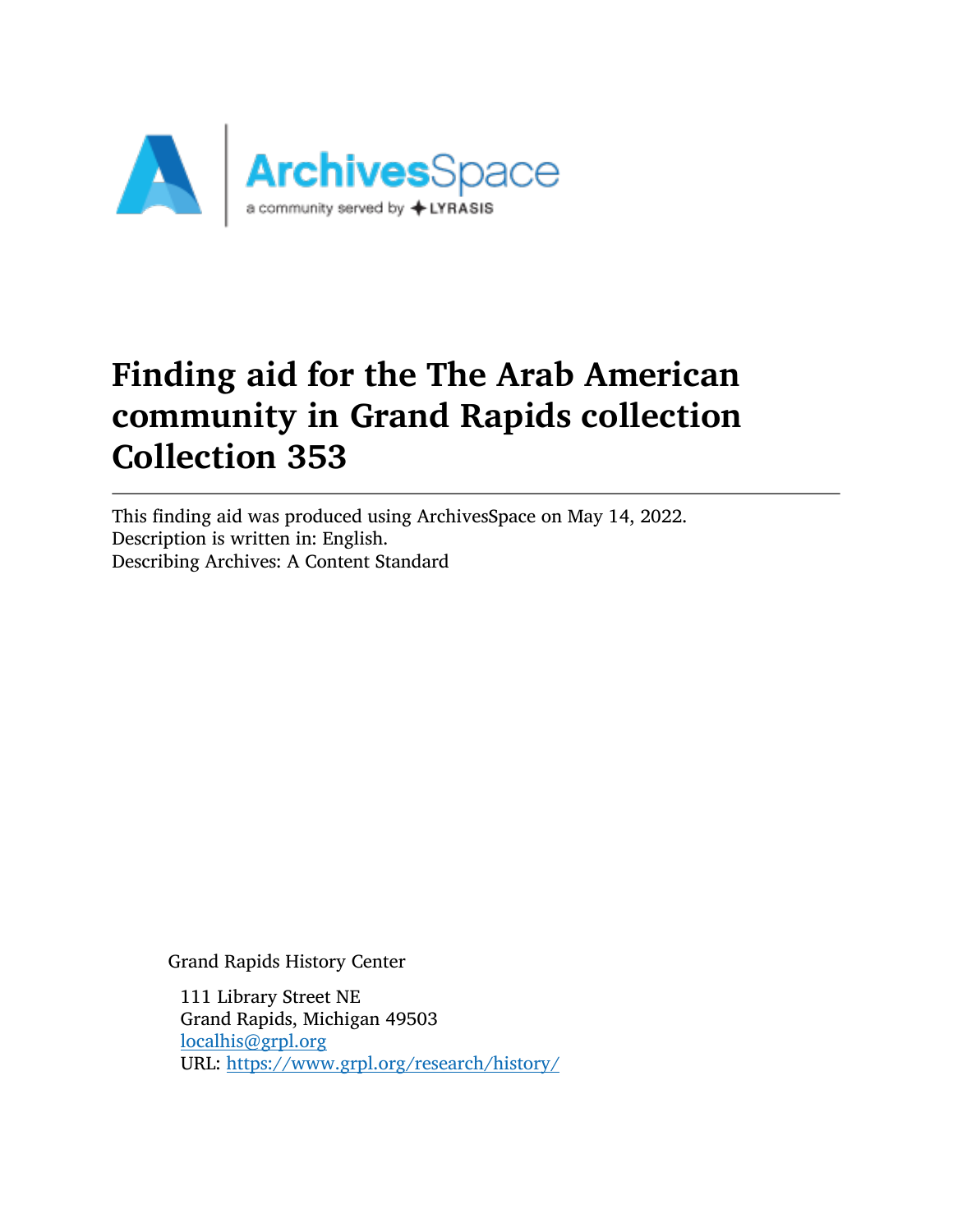

# Finding aid for the The Arab American community in Grand Rapids collection Collection 353

This finding aid was produced using ArchivesSpace on May 14, 2022. Description is written in: English. Describing Archives: A Content Standard

Grand Rapids History Center

111 Library Street NE Grand Rapids, Michigan 49503 [localhis@grpl.org](mailto:localhis@grpl.org) URL: <https://www.grpl.org/research/history/>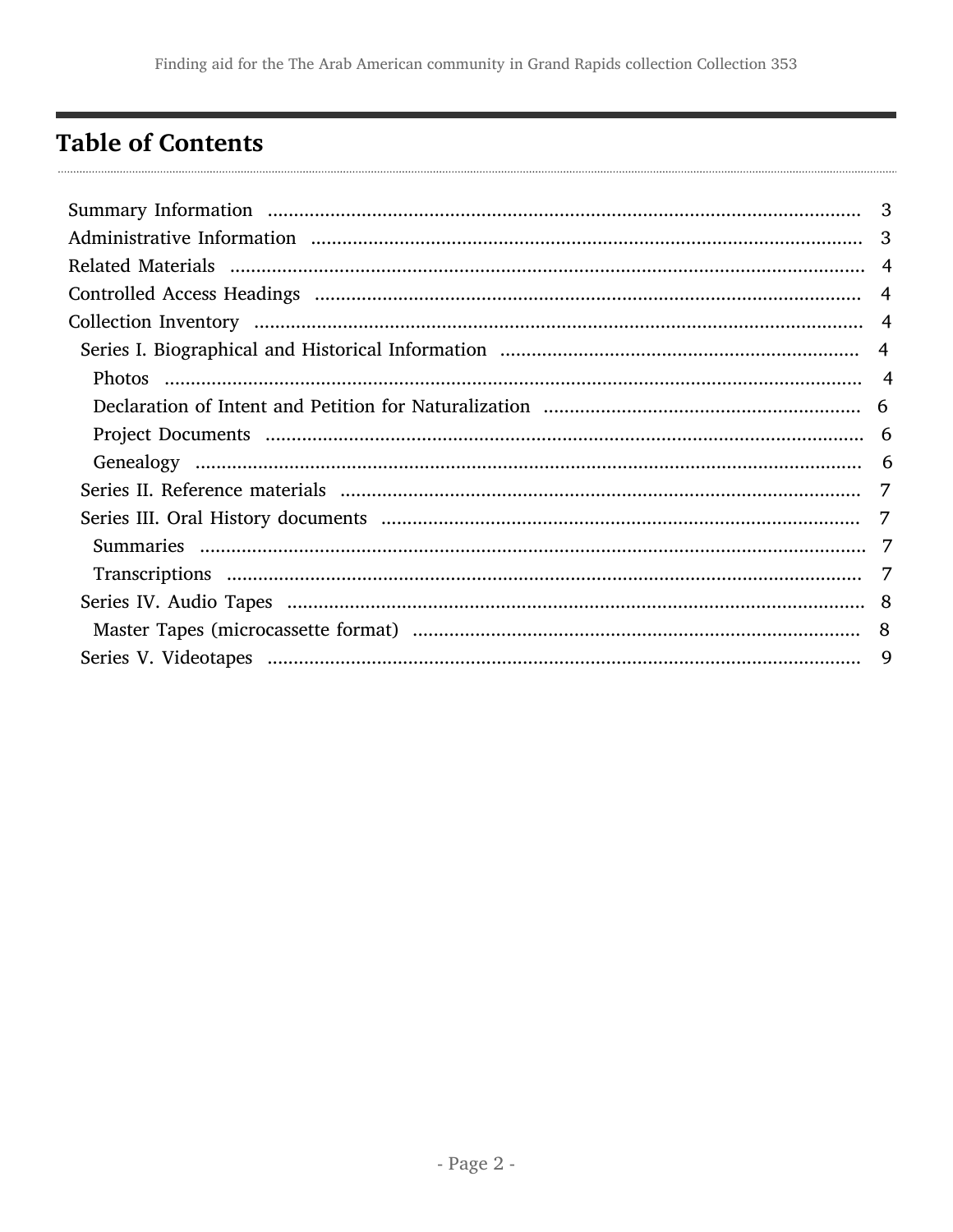# <span id="page-1-0"></span>**Table of Contents**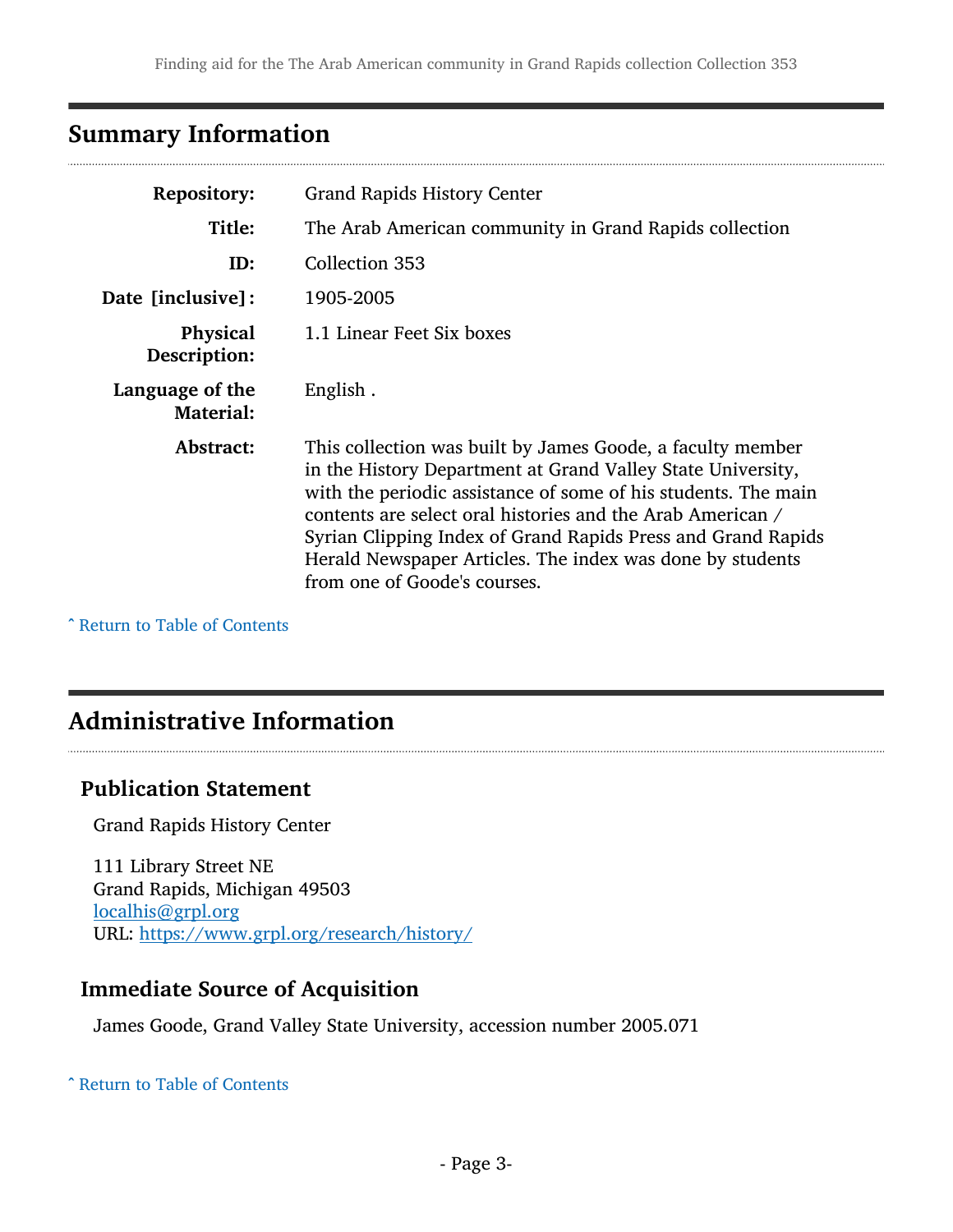## <span id="page-2-0"></span>Summary Information

| <b>Repository:</b>                  | <b>Grand Rapids History Center</b>                                                                                                                                                                                                                                                                                                                                                                                     |
|-------------------------------------|------------------------------------------------------------------------------------------------------------------------------------------------------------------------------------------------------------------------------------------------------------------------------------------------------------------------------------------------------------------------------------------------------------------------|
| Title:                              | The Arab American community in Grand Rapids collection                                                                                                                                                                                                                                                                                                                                                                 |
| ID:                                 | Collection 353                                                                                                                                                                                                                                                                                                                                                                                                         |
| Date [inclusive]:                   | 1905-2005                                                                                                                                                                                                                                                                                                                                                                                                              |
| <b>Physical</b><br>Description:     | 1.1 Linear Feet Six boxes                                                                                                                                                                                                                                                                                                                                                                                              |
| Language of the<br><b>Material:</b> | English.                                                                                                                                                                                                                                                                                                                                                                                                               |
| Abstract:                           | This collection was built by James Goode, a faculty member<br>in the History Department at Grand Valley State University,<br>with the periodic assistance of some of his students. The main<br>contents are select oral histories and the Arab American /<br>Syrian Clipping Index of Grand Rapids Press and Grand Rapids<br>Herald Newspaper Articles. The index was done by students<br>from one of Goode's courses. |

^ [Return to Table of Contents](#page-1-0)

### <span id="page-2-1"></span>Administrative Information

#### Publication Statement

Grand Rapids History Center

111 Library Street NE Grand Rapids, Michigan 49503 [localhis@grpl.org](mailto:localhis@grpl.org) URL: <https://www.grpl.org/research/history/>

### Immediate Source of Acquisition

James Goode, Grand Valley State University, accession number 2005.071

#### ^ [Return to Table of Contents](#page-1-0)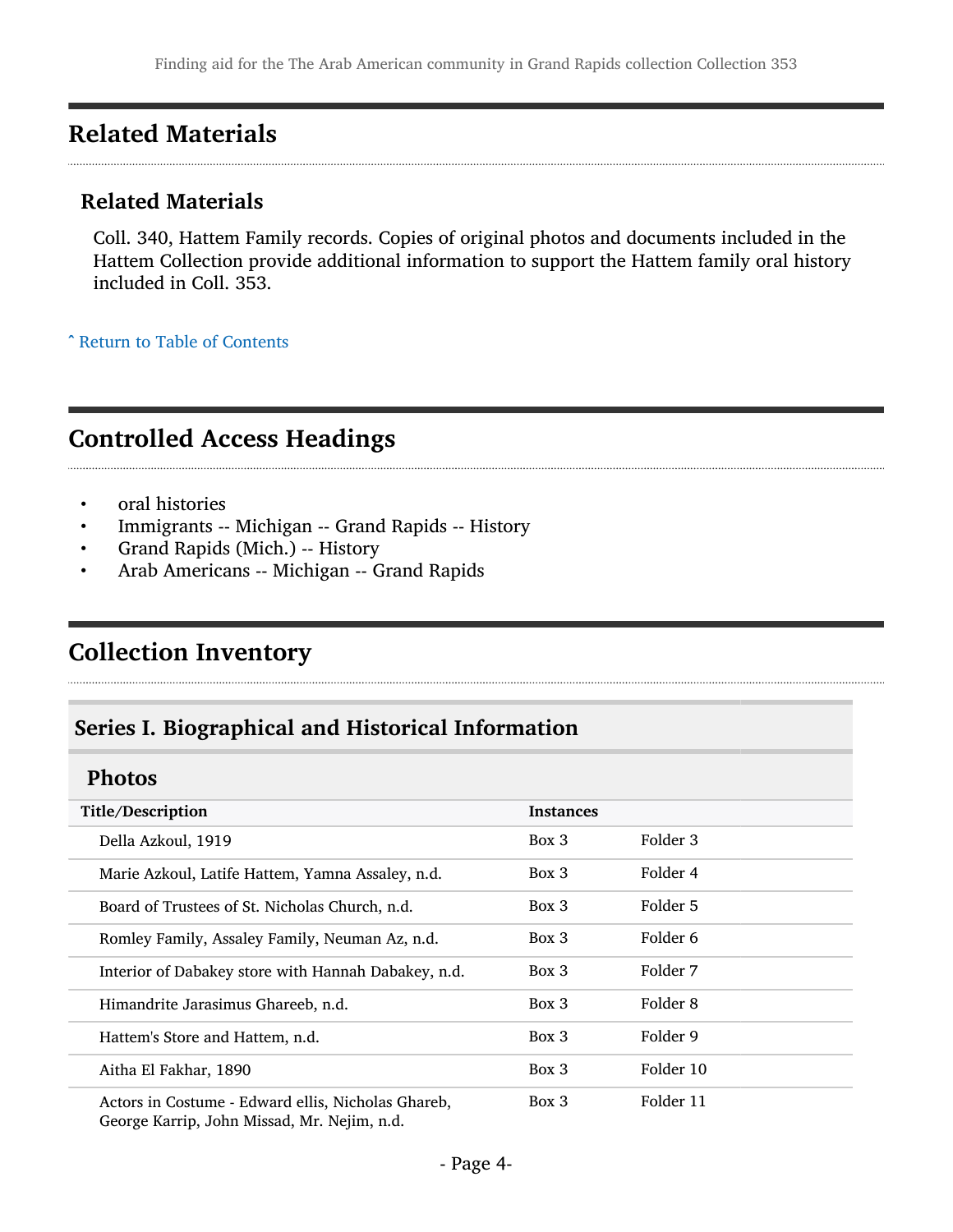## <span id="page-3-0"></span>Related Materials

#### Related Materials

Coll. 340, Hattem Family records. Copies of original photos and documents included in the Hattem Collection provide additional information to support the Hattem family oral history included in Coll. 353.

^ [Return to Table of Contents](#page-1-0)

### <span id="page-3-1"></span>Controlled Access Headings

- oral histories
- Immigrants -- Michigan -- Grand Rapids -- History
- Grand Rapids (Mich.) -- History
- Arab Americans -- Michigan -- Grand Rapids

## <span id="page-3-2"></span>Collection Inventory

### <span id="page-3-3"></span>Series I. Biographical and Historical Information

#### <span id="page-3-4"></span>Photos

| Title/Description                                                                                | <b>Instances</b> |           |
|--------------------------------------------------------------------------------------------------|------------------|-----------|
| Della Azkoul, 1919                                                                               | Box 3            | Folder 3  |
| Marie Azkoul, Latife Hattem, Yamna Assaley, n.d.                                                 | $Box\ 3$         | Folder 4  |
| Board of Trustees of St. Nicholas Church, n.d.                                                   | $Box\ 3$         | Folder 5  |
| Romley Family, Assaley Family, Neuman Az, n.d.                                                   | $Box\ 3$         | Folder 6  |
| Interior of Dabakey store with Hannah Dabakey, n.d.                                              | Box 3            | Folder 7  |
| Himandrite Jarasimus Ghareeb, n.d.                                                               | Box 3            | Folder 8  |
| Hattem's Store and Hattem, n.d.                                                                  | $Box\ 3$         | Folder 9  |
| Aitha El Fakhar, 1890                                                                            | Box 3            | Folder 10 |
| Actors in Costume - Edward ellis, Nicholas Ghareb,<br>$Cosana Eequation$ Labo Missad Mu Naim n d | $Box\ 3$         | Folder 11 |

George Karrip, John Missad, Mr. Nejim, n.d.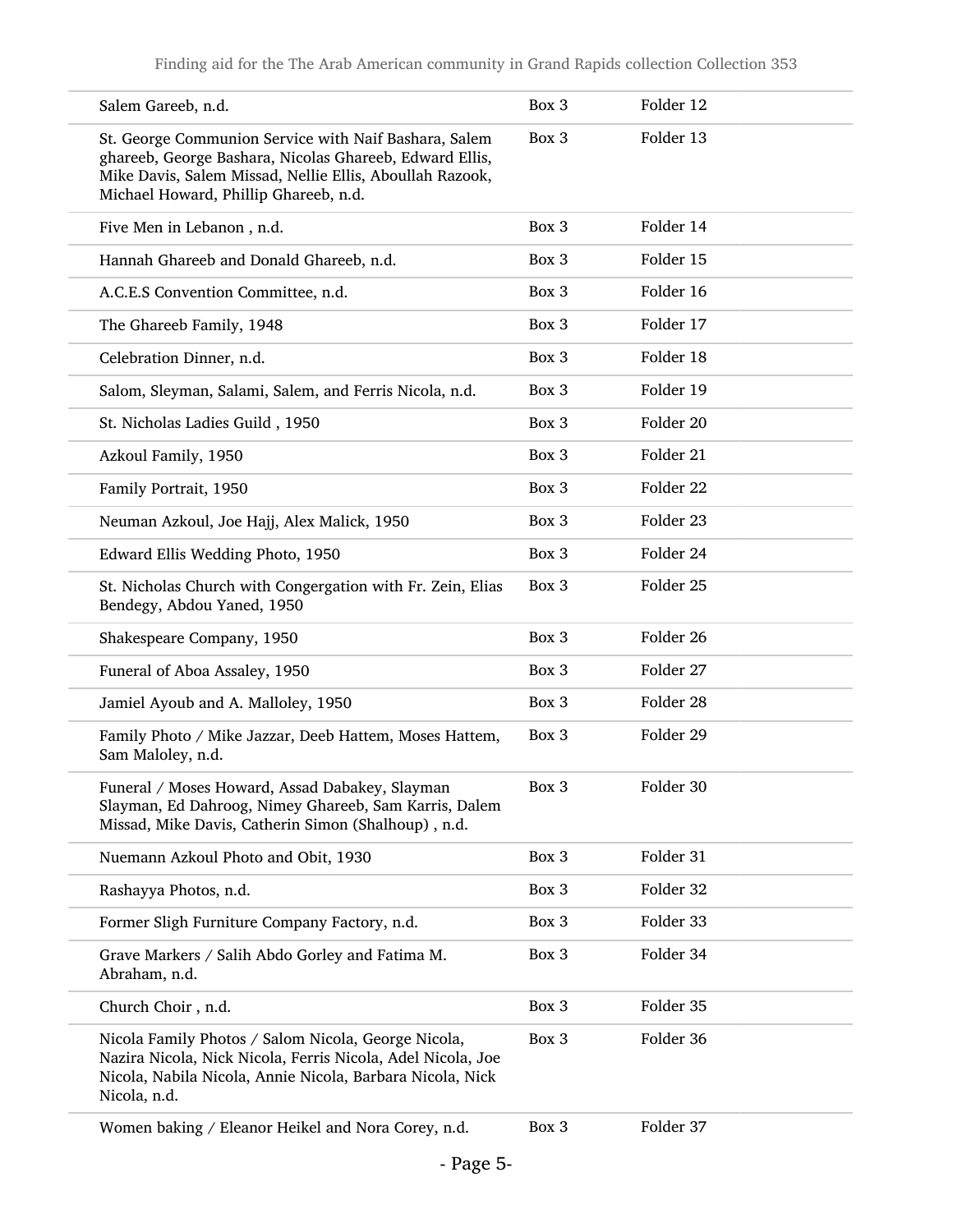| Salem Gareeb, n.d.                                                                                                                                                                                                    | Box 3 | Folder 12 |
|-----------------------------------------------------------------------------------------------------------------------------------------------------------------------------------------------------------------------|-------|-----------|
| St. George Communion Service with Naif Bashara, Salem<br>ghareeb, George Bashara, Nicolas Ghareeb, Edward Ellis,<br>Mike Davis, Salem Missad, Nellie Ellis, Aboullah Razook,<br>Michael Howard, Phillip Ghareeb, n.d. | Box 3 | Folder 13 |
| Five Men in Lebanon, n.d.                                                                                                                                                                                             | Box 3 | Folder 14 |
| Hannah Ghareeb and Donald Ghareeb, n.d.                                                                                                                                                                               | Box 3 | Folder 15 |
| A.C.E.S Convention Committee, n.d.                                                                                                                                                                                    | Box 3 | Folder 16 |
| The Ghareeb Family, 1948                                                                                                                                                                                              | Box 3 | Folder 17 |
| Celebration Dinner, n.d.                                                                                                                                                                                              | Box 3 | Folder 18 |
| Salom, Sleyman, Salami, Salem, and Ferris Nicola, n.d.                                                                                                                                                                | Box 3 | Folder 19 |
| St. Nicholas Ladies Guild, 1950                                                                                                                                                                                       | Box 3 | Folder 20 |
| Azkoul Family, 1950                                                                                                                                                                                                   | Box 3 | Folder 21 |
| Family Portrait, 1950                                                                                                                                                                                                 | Box 3 | Folder 22 |
| Neuman Azkoul, Joe Hajj, Alex Malick, 1950                                                                                                                                                                            | Box 3 | Folder 23 |
| Edward Ellis Wedding Photo, 1950                                                                                                                                                                                      | Box 3 | Folder 24 |
| St. Nicholas Church with Congergation with Fr. Zein, Elias<br>Bendegy, Abdou Yaned, 1950                                                                                                                              | Box 3 | Folder 25 |
| Shakespeare Company, 1950                                                                                                                                                                                             | Box 3 | Folder 26 |
| Funeral of Aboa Assaley, 1950                                                                                                                                                                                         | Box 3 | Folder 27 |
| Jamiel Ayoub and A. Malloley, 1950                                                                                                                                                                                    | Box 3 | Folder 28 |
| Family Photo / Mike Jazzar, Deeb Hattem, Moses Hattem,<br>Sam Maloley, n.d.                                                                                                                                           | Box 3 | Folder 29 |
| Funeral / Moses Howard, Assad Dabakey, Slayman<br>Slayman, Ed Dahroog, Nimey Ghareeb, Sam Karris, Dalem<br>Missad, Mike Davis, Catherin Simon (Shalhoup), n.d.                                                        | Box 3 | Folder 30 |
| Nuemann Azkoul Photo and Obit, 1930                                                                                                                                                                                   | Box 3 | Folder 31 |
| Rashayya Photos, n.d.                                                                                                                                                                                                 | Box 3 | Folder 32 |
| Former Sligh Furniture Company Factory, n.d.                                                                                                                                                                          | Box 3 | Folder 33 |
| Grave Markers / Salih Abdo Gorley and Fatima M.<br>Abraham, n.d.                                                                                                                                                      | Box 3 | Folder 34 |
| Church Choir, n.d.                                                                                                                                                                                                    | Box 3 | Folder 35 |
| Nicola Family Photos / Salom Nicola, George Nicola,<br>Nazira Nicola, Nick Nicola, Ferris Nicola, Adel Nicola, Joe<br>Nicola, Nabila Nicola, Annie Nicola, Barbara Nicola, Nick<br>Nicola, n.d.                       | Box 3 | Folder 36 |
| Women baking / Eleanor Heikel and Nora Corey, n.d.                                                                                                                                                                    | Box 3 | Folder 37 |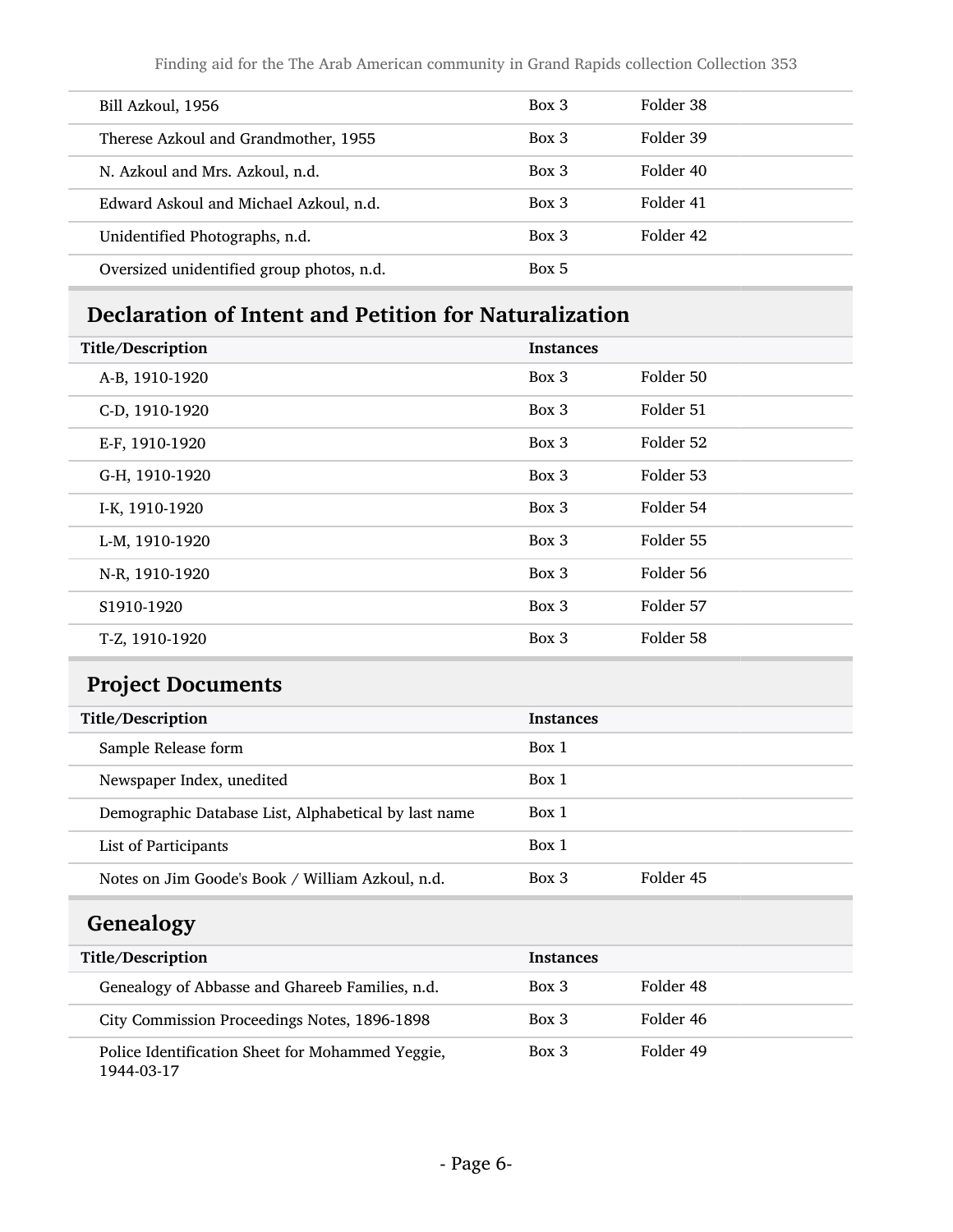Finding aid for the The Arab American community in Grand Rapids collection Collection 353

| Bill Azkoul, 1956                         | $Box\ 3$ | Folder 38 |
|-------------------------------------------|----------|-----------|
| Therese Azkoul and Grandmother, 1955      | $Box\ 3$ | Folder 39 |
| N. Azkoul and Mrs. Azkoul, n.d.           | $Box\ 3$ | Folder 40 |
| Edward Askoul and Michael Azkoul, n.d.    | $Box\ 3$ | Folder 41 |
| Unidentified Photographs, n.d.            | $Box\ 3$ | Folder 42 |
| Oversized unidentified group photos, n.d. | Box 5    |           |

# <span id="page-5-0"></span>Declaration of Intent and Petition for Naturalization

| Title/Description | <b>Instances</b> |           |
|-------------------|------------------|-----------|
| A-B, 1910-1920    | Box 3            | Folder 50 |
| C-D, 1910-1920    | Box 3            | Folder 51 |
| E-F, 1910-1920    | Box 3            | Folder 52 |
| G-H, 1910-1920    | Box 3            | Folder 53 |
| I-K, 1910-1920    | Box 3            | Folder 54 |
| L-M, 1910-1920    | Box 3            | Folder 55 |
| N-R, 1910-1920    | Box 3            | Folder 56 |
| S1910-1920        | Box 3            | Folder 57 |
| T-Z, 1910-1920    | Box 3            | Folder 58 |

# <span id="page-5-1"></span>Project Documents

| Title/Description                                    | <b>Instances</b> |           |
|------------------------------------------------------|------------------|-----------|
| Sample Release form                                  | Box 1            |           |
| Newspaper Index, unedited                            | Box 1            |           |
| Demographic Database List, Alphabetical by last name | Box 1            |           |
| List of Participants                                 | Box 1            |           |
| Notes on Jim Goode's Book / William Azkoul, n.d.     | $Box$ 3          | Folder 45 |

# <span id="page-5-2"></span>Genealogy

| Title/Description                                              | <b>Instances</b> |           |
|----------------------------------------------------------------|------------------|-----------|
| Genealogy of Abbasse and Ghareeb Families, n.d.                | Box 3            | Folder 48 |
| City Commission Proceedings Notes, 1896-1898                   | $Box\ 3$         | Folder 46 |
| Police Identification Sheet for Mohammed Yeggie,<br>1944-03-17 | $Box\ 3$         | Folder 49 |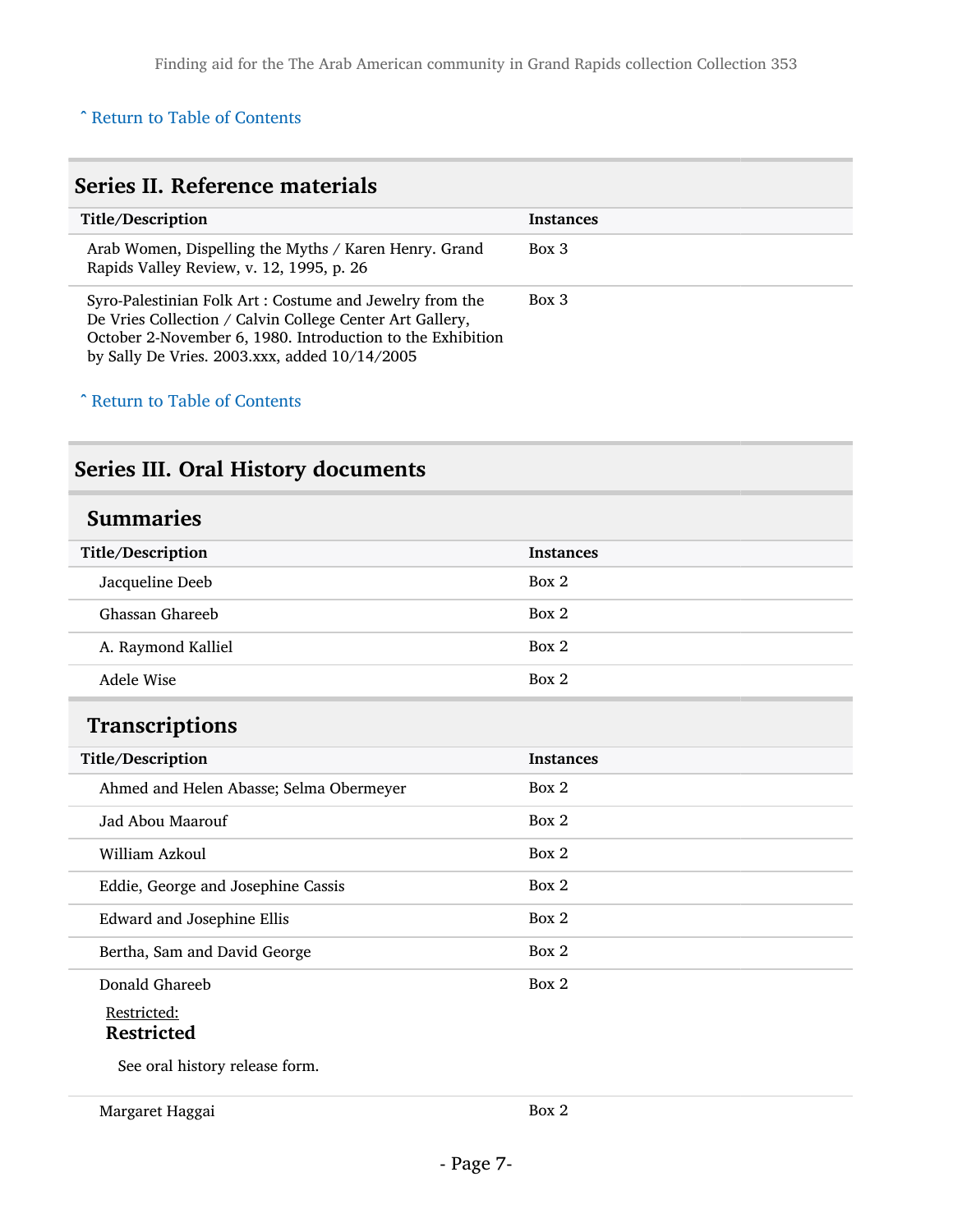#### ^ [Return to Table of Contents](#page-1-0)

<span id="page-6-0"></span>

| Series II. Reference materials                                                                                                                                                                                                     |                  |  |
|------------------------------------------------------------------------------------------------------------------------------------------------------------------------------------------------------------------------------------|------------------|--|
| Title/Description                                                                                                                                                                                                                  | <b>Instances</b> |  |
| Arab Women, Dispelling the Myths / Karen Henry. Grand<br>Rapids Valley Review, v. 12, 1995, p. 26                                                                                                                                  | $Box\ 3$         |  |
| Syro-Palestinian Folk Art: Costume and Jewelry from the<br>De Vries Collection / Calvin College Center Art Gallery,<br>October 2-November 6, 1980. Introduction to the Exhibition<br>by Sally De Vries. 2003.xxx, added 10/14/2005 | $Box\ 3$         |  |

#### ^ [Return to Table of Contents](#page-1-0)

# <span id="page-6-1"></span>Series III. Oral History documents

<span id="page-6-3"></span><span id="page-6-2"></span>

| <b>Summaries</b>                        |                  |  |
|-----------------------------------------|------------------|--|
| Title/Description                       | <b>Instances</b> |  |
| Jacqueline Deeb                         | Box 2            |  |
| Ghassan Ghareeb                         | Box 2            |  |
| A. Raymond Kalliel                      | Box 2            |  |
| Adele Wise                              | Box 2            |  |
| <b>Transcriptions</b>                   |                  |  |
| Title/Description                       | <b>Instances</b> |  |
| Ahmed and Helen Abasse; Selma Obermeyer | Box 2            |  |
| Jad Abou Maarouf                        | Box 2            |  |
| William Azkoul                          | Box 2            |  |
| Eddie, George and Josephine Cassis      | Box 2            |  |
| Edward and Josephine Ellis              | Box 2            |  |
| Bertha, Sam and David George            | Box 2            |  |
| Donald Ghareeb                          | Box 2            |  |
| Restricted:                             |                  |  |
| <b>Restricted</b>                       |                  |  |
| See oral history release form.          |                  |  |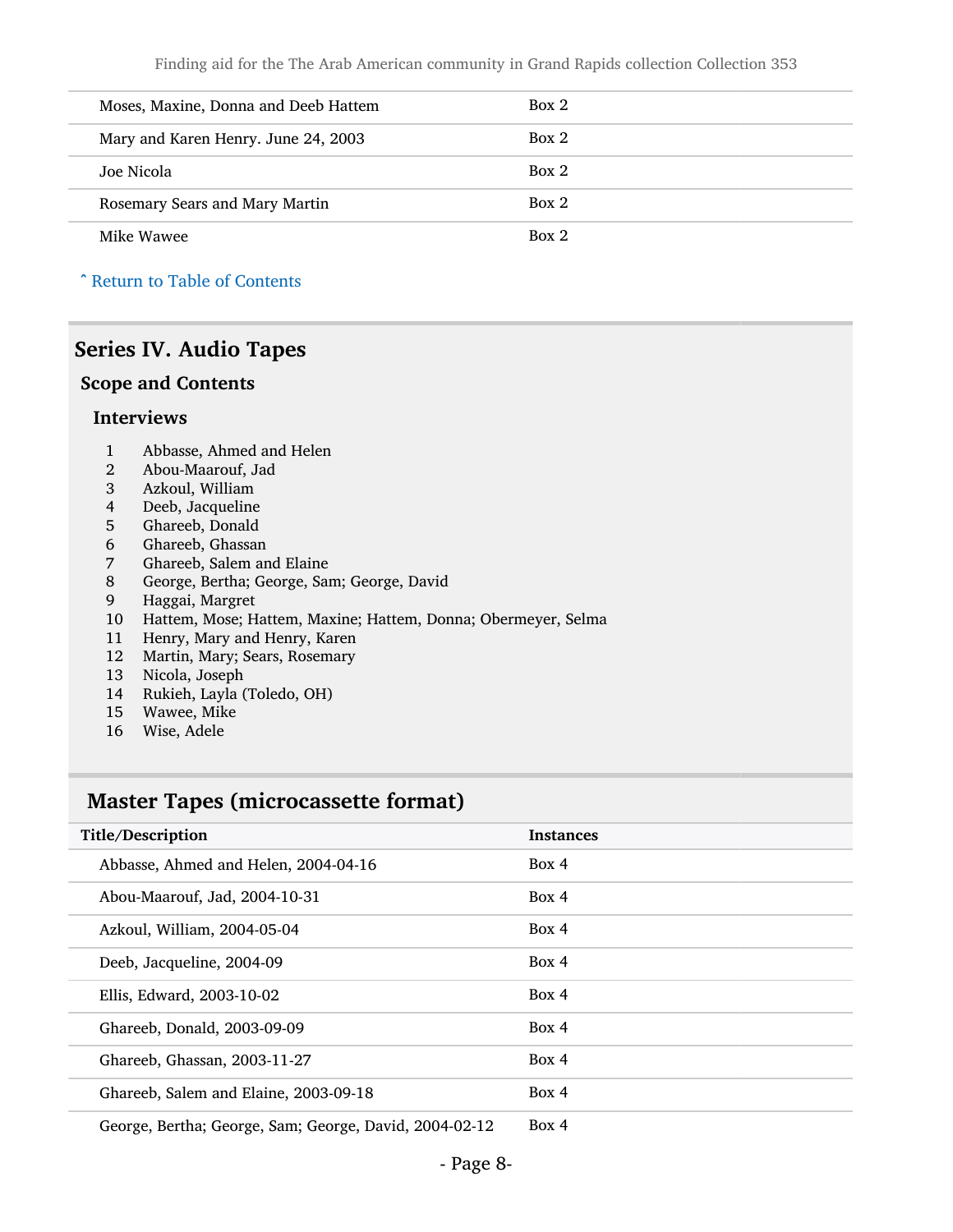| Moses, Maxine, Donna and Deeb Hattem | Box 2 |
|--------------------------------------|-------|
| Mary and Karen Henry. June 24, 2003  | Box 2 |
| Joe Nicola                           | Box 2 |
| Rosemary Sears and Mary Martin       | Box 2 |
| Mike Wawee                           | Box 2 |

^ [Return to Table of Contents](#page-1-0)

#### <span id="page-7-0"></span>Series IV. Audio Tapes

#### Scope and Contents

#### Interviews

- 1 Abbasse, Ahmed and Helen<br>2 Abou-Maarouf, Jad
- 2 Abou-Maarouf, Jad
- Azkoul, William
- 4 Deeb, Jacqueline<br>5 Ghareeb, Donald
- Ghareeb, Donald
- 6 Ghareeb, Ghassan<br>7 Ghareeb, Salem ar
- 
- 7 Ghareeb, Salem and Elaine<br>8 George, Bertha; George, Sar 8 George, Bertha; George, Sam; George, David
- 9 Haggai, Margret
- 10 Hattem, Mose; Hattem, Maxine; Hattem, Donna; Obermeyer, Selma
- 11 Henry, Mary and Henry, Karen
- 12 Martin, Mary; Sears, Rosemary
- 13 Nicola, Joseph
- 14 Rukieh, Layla (Toledo, OH)
- 15 Wawee, Mike
- 16 Wise, Adele

#### <span id="page-7-1"></span>Master Tapes (microcassette format)

| Title/Description                                      | <b>Instances</b> |
|--------------------------------------------------------|------------------|
| Abbasse, Ahmed and Helen, 2004-04-16                   | Box 4            |
| Abou-Maarouf, Jad, 2004-10-31                          | Box 4            |
| Azkoul, William, 2004-05-04                            | Box 4            |
| Deeb, Jacqueline, 2004-09                              | Box 4            |
| Ellis, Edward, 2003-10-02                              | Box 4            |
| Ghareeb, Donald, 2003-09-09                            | Box 4            |
| Ghareeb, Ghassan, 2003-11-27                           | Box 4            |
| Ghareeb, Salem and Elaine, 2003-09-18                  | Box 4            |
| George, Bertha; George, Sam; George, David, 2004-02-12 | Box 4            |